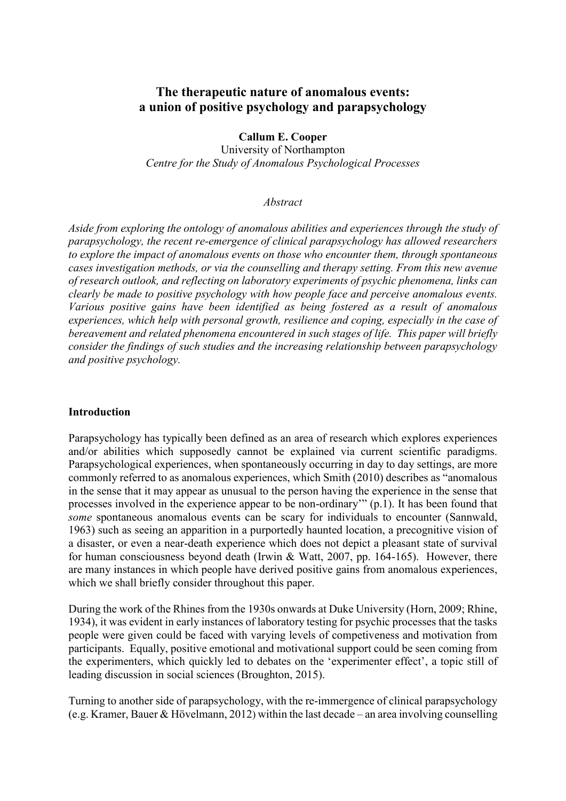# **The therapeutic nature of anomalous events: a union of positive psychology and parapsychology**

**Callum E. Cooper**

University of Northampton *Centre for the Study of Anomalous Psychological Processes*

#### *Abstract*

*Aside from exploring the ontology of anomalous abilities and experiences through the study of parapsychology, the recent re-emergence of clinical parapsychology has allowed researchers to explore the impact of anomalous events on those who encounter them, through spontaneous cases investigation methods, or via the counselling and therapy setting. From this new avenue of research outlook, and reflecting on laboratory experiments of psychic phenomena, links can clearly be made to positive psychology with how people face and perceive anomalous events. Various positive gains have been identified as being fostered as a result of anomalous experiences, which help with personal growth, resilience and coping, especially in the case of bereavement and related phenomena encountered in such stages of life. This paper will briefly consider the findings of such studies and the increasing relationship between parapsychology and positive psychology.*

### **Introduction**

Parapsychology has typically been defined as an area of research which explores experiences and/or abilities which supposedly cannot be explained via current scientific paradigms. Parapsychological experiences, when spontaneously occurring in day to day settings, are more commonly referred to as anomalous experiences, which Smith (2010) describes as "anomalous in the sense that it may appear as unusual to the person having the experience in the sense that processes involved in the experience appear to be non-ordinary'" (p.1). It has been found that *some* spontaneous anomalous events can be scary for individuals to encounter (Sannwald, 1963) such as seeing an apparition in a purportedly haunted location, a precognitive vision of a disaster, or even a near-death experience which does not depict a pleasant state of survival for human consciousness beyond death (Irwin & Watt, 2007, pp. 164-165). However, there are many instances in which people have derived positive gains from anomalous experiences, which we shall briefly consider throughout this paper.

During the work of the Rhines from the 1930s onwards at Duke University (Horn, 2009; Rhine, 1934), it was evident in early instances of laboratory testing for psychic processes that the tasks people were given could be faced with varying levels of competiveness and motivation from participants. Equally, positive emotional and motivational support could be seen coming from the experimenters, which quickly led to debates on the 'experimenter effect', a topic still of leading discussion in social sciences (Broughton, 2015).

Turning to another side of parapsychology, with the re-immergence of clinical parapsychology (e.g. Kramer, Bauer & Hövelmann, 2012) within the last decade – an area involving counselling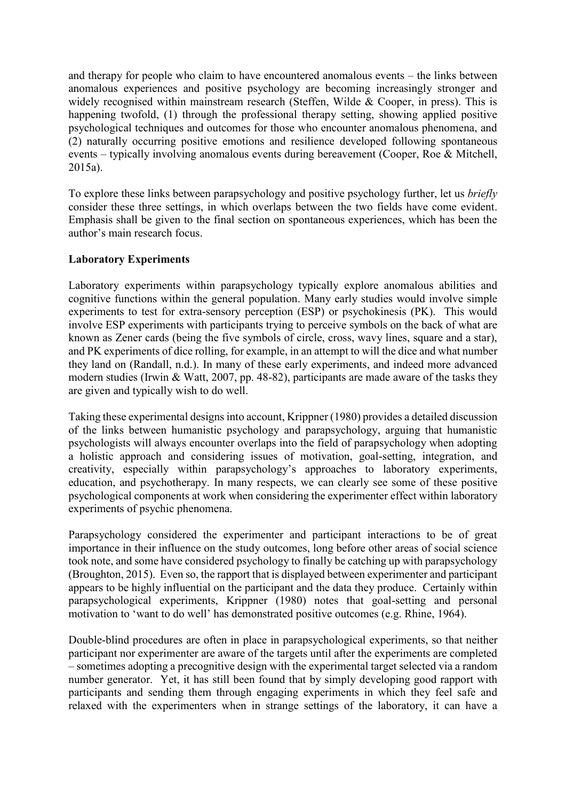and therapy for people who claim to have encountered anomalous events – the links between anomalous experiences and positive psychology are becoming increasingly stronger and widely recognised within mainstream research (Steffen, Wilde & Cooper, in press). This is happening twofold, (1) through the professional therapy setting, showing applied positive psychological techniques and outcomes for those who encounter anomalous phenomena, and (2) naturally occurring positive emotions and resilience developed following spontaneous events – typically involving anomalous events during bereavement (Cooper, Roe & Mitchell, 2015a).

To explore these links between parapsychology and positive psychology further, let us *briefly* consider these three settings, in which overlaps between the two fields have come evident. Emphasis shall be given to the final section on spontaneous experiences, which has been the author's main research focus.

## **Laboratory Experiments**

Laboratory experiments within parapsychology typically explore anomalous abilities and cognitive functions within the general population. Many early studies would involve simple experiments to test for extra-sensory perception (ESP) or psychokinesis (PK). This would involve ESP experiments with participants trying to perceive symbols on the back of what are known as Zener cards (being the five symbols of circle, cross, wavy lines, square and a star), and PK experiments of dice rolling, for example, in an attempt to will the dice and what number they land on (Randall, n.d.). In many of these early experiments, and indeed more advanced modern studies (Irwin & Watt, 2007, pp. 48-82), participants are made aware of the tasks they are given and typically wish to do well.

Taking these experimental designs into account, Krippner (1980) provides a detailed discussion of the links between humanistic psychology and parapsychology, arguing that humanistic psychologists will always encounter overlaps into the field of parapsychology when adopting a holistic approach and considering issues of motivation, goal-setting, integration, and creativity, especially within parapsychology's approaches to laboratory experiments, education, and psychotherapy. In many respects, we can clearly see some of these positive psychological components at work when considering the experimenter effect within laboratory experiments of psychic phenomena.

Parapsychology considered the experimenter and participant interactions to be of great importance in their influence on the study outcomes, long before other areas of social science took note, and some have considered psychology to finally be catching up with parapsychology (Broughton, 2015). Even so, the rapport that is displayed between experimenter and participant appears to be highly influential on the participant and the data they produce. Certainly within parapsychological experiments, Krippner (1980) notes that goal-setting and personal motivation to 'want to do well' has demonstrated positive outcomes (e.g. Rhine, 1964).

Double-blind procedures are often in place in parapsychological experiments, so that neither participant nor experimenter are aware of the targets until after the experiments are completed – sometimes adopting a precognitive design with the experimental target selected via a random number generator. Yet, it has still been found that by simply developing good rapport with participants and sending them through engaging experiments in which they feel safe and relaxed with the experimenters when in strange settings of the laboratory, it can have a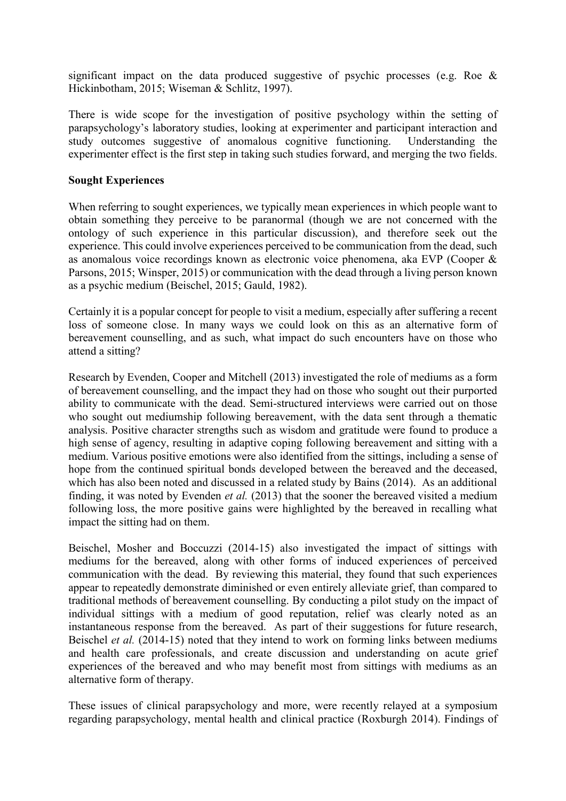significant impact on the data produced suggestive of psychic processes (e.g. Roe & Hickinbotham, 2015; Wiseman & Schlitz, 1997).

There is wide scope for the investigation of positive psychology within the setting of parapsychology's laboratory studies, looking at experimenter and participant interaction and study outcomes suggestive of anomalous cognitive functioning. Understanding the experimenter effect is the first step in taking such studies forward, and merging the two fields.

### **Sought Experiences**

When referring to sought experiences, we typically mean experiences in which people want to obtain something they perceive to be paranormal (though we are not concerned with the ontology of such experience in this particular discussion), and therefore seek out the experience. This could involve experiences perceived to be communication from the dead, such as anomalous voice recordings known as electronic voice phenomena, aka EVP (Cooper & Parsons, 2015; Winsper, 2015) or communication with the dead through a living person known as a psychic medium (Beischel, 2015; Gauld, 1982).

Certainly it is a popular concept for people to visit a medium, especially after suffering a recent loss of someone close. In many ways we could look on this as an alternative form of bereavement counselling, and as such, what impact do such encounters have on those who attend a sitting?

Research by Evenden, Cooper and Mitchell (2013) investigated the role of mediums as a form of bereavement counselling, and the impact they had on those who sought out their purported ability to communicate with the dead. Semi-structured interviews were carried out on those who sought out mediumship following bereavement, with the data sent through a thematic analysis. Positive character strengths such as wisdom and gratitude were found to produce a high sense of agency, resulting in adaptive coping following bereavement and sitting with a medium. Various positive emotions were also identified from the sittings, including a sense of hope from the continued spiritual bonds developed between the bereaved and the deceased, which has also been noted and discussed in a related study by Bains (2014). As an additional finding, it was noted by Evenden *et al.* (2013) that the sooner the bereaved visited a medium following loss, the more positive gains were highlighted by the bereaved in recalling what impact the sitting had on them.

Beischel, Mosher and Boccuzzi (2014-15) also investigated the impact of sittings with mediums for the bereaved, along with other forms of induced experiences of perceived communication with the dead. By reviewing this material, they found that such experiences appear to repeatedly demonstrate diminished or even entirely alleviate grief, than compared to traditional methods of bereavement counselling. By conducting a pilot study on the impact of individual sittings with a medium of good reputation, relief was clearly noted as an instantaneous response from the bereaved. As part of their suggestions for future research, Beischel *et al.* (2014-15) noted that they intend to work on forming links between mediums and health care professionals, and create discussion and understanding on acute grief experiences of the bereaved and who may benefit most from sittings with mediums as an alternative form of therapy.

These issues of clinical parapsychology and more, were recently relayed at a symposium regarding parapsychology, mental health and clinical practice (Roxburgh 2014). Findings of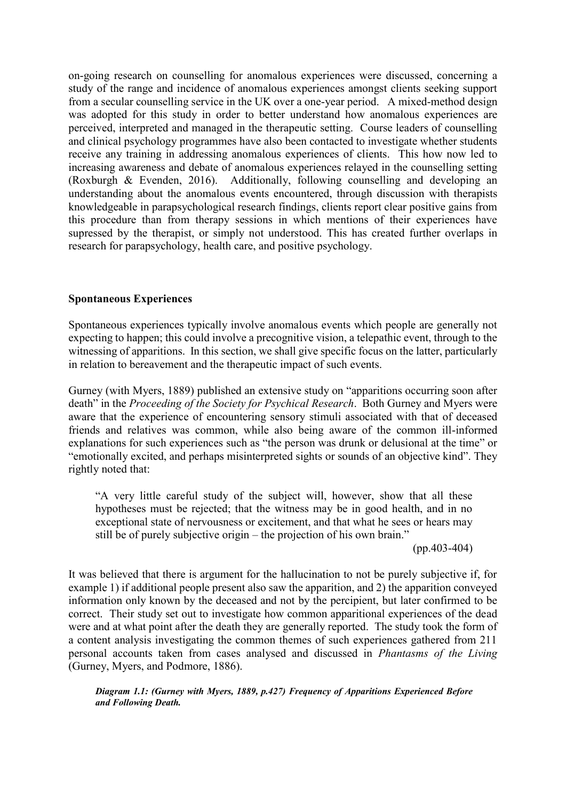on-going research on counselling for anomalous experiences were discussed, concerning a study of the range and incidence of anomalous experiences amongst clients seeking support from a secular counselling service in the UK over a one-year period. A mixed-method design was adopted for this study in order to better understand how anomalous experiences are perceived, interpreted and managed in the therapeutic setting. Course leaders of counselling and clinical psychology programmes have also been contacted to investigate whether students receive any training in addressing anomalous experiences of clients. This how now led to increasing awareness and debate of anomalous experiences relayed in the counselling setting (Roxburgh & Evenden, 2016). Additionally, following counselling and developing an understanding about the anomalous events encountered, through discussion with therapists knowledgeable in parapsychological research findings, clients report clear positive gains from this procedure than from therapy sessions in which mentions of their experiences have supressed by the therapist, or simply not understood. This has created further overlaps in research for parapsychology, health care, and positive psychology.

#### **Spontaneous Experiences**

Spontaneous experiences typically involve anomalous events which people are generally not expecting to happen; this could involve a precognitive vision, a telepathic event, through to the witnessing of apparitions. In this section, we shall give specific focus on the latter, particularly in relation to bereavement and the therapeutic impact of such events.

Gurney (with Myers, 1889) published an extensive study on "apparitions occurring soon after death" in the *Proceeding of the Society for Psychical Research*. Both Gurney and Myers were aware that the experience of encountering sensory stimuli associated with that of deceased friends and relatives was common, while also being aware of the common ill-informed explanations for such experiences such as "the person was drunk or delusional at the time" or "emotionally excited, and perhaps misinterpreted sights or sounds of an objective kind". They rightly noted that:

"A very little careful study of the subject will, however, show that all these hypotheses must be rejected; that the witness may be in good health, and in no exceptional state of nervousness or excitement, and that what he sees or hears may still be of purely subjective origin – the projection of his own brain."

(pp.403-404)

It was believed that there is argument for the hallucination to not be purely subjective if, for example 1) if additional people present also saw the apparition, and 2) the apparition conveyed information only known by the deceased and not by the percipient, but later confirmed to be correct. Their study set out to investigate how common apparitional experiences of the dead were and at what point after the death they are generally reported. The study took the form of a content analysis investigating the common themes of such experiences gathered from 211 personal accounts taken from cases analysed and discussed in *Phantasms of the Living* (Gurney, Myers, and Podmore, 1886).

*Diagram 1.1: (Gurney with Myers, 1889, p.427) Frequency of Apparitions Experienced Before and Following Death.*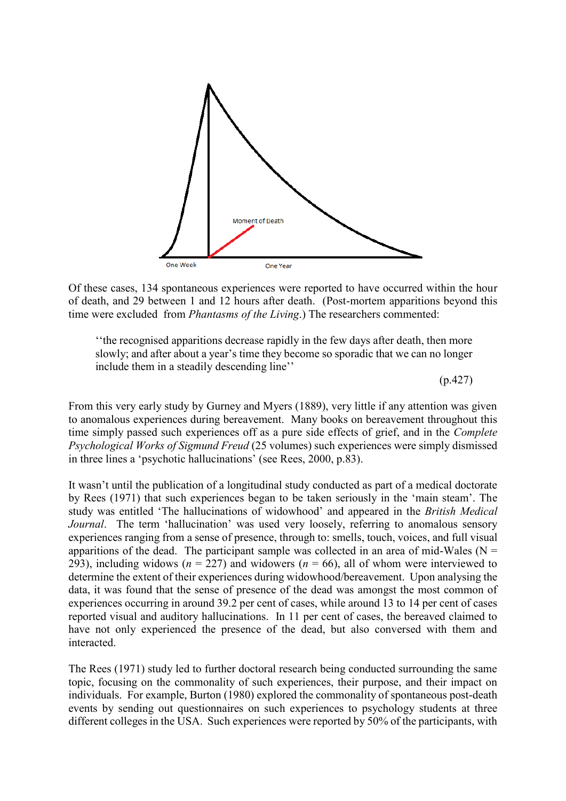

Of these cases, 134 spontaneous experiences were reported to have occurred within the hour of death, and 29 between 1 and 12 hours after death. (Post-mortem apparitions beyond this time were excluded from *Phantasms of the Living*.) The researchers commented:

''the recognised apparitions decrease rapidly in the few days after death, then more slowly; and after about a year's time they become so sporadic that we can no longer include them in a steadily descending line''

(p.427)

From this very early study by Gurney and Myers (1889), very little if any attention was given to anomalous experiences during bereavement. Many books on bereavement throughout this time simply passed such experiences off as a pure side effects of grief, and in the *Complete Psychological Works of Sigmund Freud* (25 volumes) such experiences were simply dismissed in three lines a 'psychotic hallucinations' (see Rees, 2000, p.83).

It wasn't until the publication of a longitudinal study conducted as part of a medical doctorate by Rees (1971) that such experiences began to be taken seriously in the 'main steam'. The study was entitled 'The hallucinations of widowhood' and appeared in the *British Medical Journal*. The term 'hallucination' was used very loosely, referring to anomalous sensory experiences ranging from a sense of presence, through to: smells, touch, voices, and full visual apparitions of the dead. The participant sample was collected in an area of mid-Wales ( $N =$ 293), including widows ( $n = 227$ ) and widowers ( $n = 66$ ), all of whom were interviewed to determine the extent of their experiences during widowhood/bereavement. Upon analysing the data, it was found that the sense of presence of the dead was amongst the most common of experiences occurring in around 39.2 per cent of cases, while around 13 to 14 per cent of cases reported visual and auditory hallucinations. In 11 per cent of cases, the bereaved claimed to have not only experienced the presence of the dead, but also conversed with them and interacted.

The Rees (1971) study led to further doctoral research being conducted surrounding the same topic, focusing on the commonality of such experiences, their purpose, and their impact on individuals. For example, Burton (1980) explored the commonality of spontaneous post-death events by sending out questionnaires on such experiences to psychology students at three different colleges in the USA. Such experiences were reported by 50% of the participants, with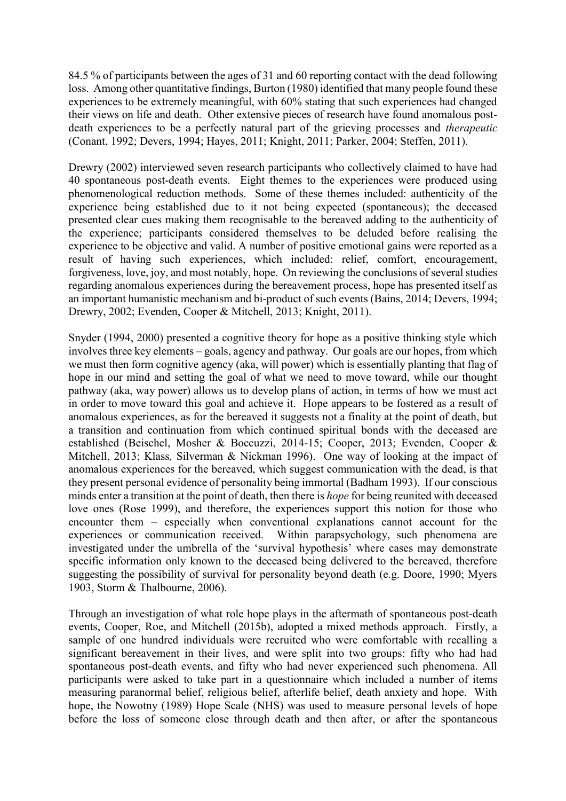84.5 % of participants between the ages of 31 and 60 reporting contact with the dead following loss. Among other quantitative findings, Burton (1980) identified that many people found these experiences to be extremely meaningful, with 60% stating that such experiences had changed their views on life and death. Other extensive pieces of research have found anomalous postdeath experiences to be a perfectly natural part of the grieving processes and *therapeutic*  (Conant, 1992; Devers, 1994; Hayes, 2011; Knight, 2011; Parker, 2004; Steffen, 2011).

Drewry (2002) interviewed seven research participants who collectively claimed to have had 40 spontaneous post-death events. Eight themes to the experiences were produced using phenomenological reduction methods. Some of these themes included: authenticity of the experience being established due to it not being expected (spontaneous); the deceased presented clear cues making them recognisable to the bereaved adding to the authenticity of the experience; participants considered themselves to be deluded before realising the experience to be objective and valid. A number of positive emotional gains were reported as a result of having such experiences, which included: relief, comfort, encouragement, forgiveness, love, joy, and most notably, hope. On reviewing the conclusions of several studies regarding anomalous experiences during the bereavement process, hope has presented itself as an important humanistic mechanism and bi-product of such events (Bains, 2014; Devers, 1994; Drewry, 2002; Evenden, Cooper & Mitchell, 2013; Knight, 2011).

Snyder (1994, 2000) presented a cognitive theory for hope as a positive thinking style which involves three key elements – goals, agency and pathway. Our goals are our hopes, from which we must then form cognitive agency (aka, will power) which is essentially planting that flag of hope in our mind and setting the goal of what we need to move toward, while our thought pathway (aka, way power) allows us to develop plans of action, in terms of how we must act in order to move toward this goal and achieve it. Hope appears to be fostered as a result of anomalous experiences, as for the bereaved it suggests not a finality at the point of death, but a transition and continuation from which continued spiritual bonds with the deceased are established (Beischel, Mosher & Boccuzzi, 2014-15; Cooper, 2013; Evenden, Cooper & Mitchell, 2013; Klass*,* Silverman & Nickman 1996). One way of looking at the impact of anomalous experiences for the bereaved, which suggest communication with the dead, is that they present personal evidence of personality being immortal (Badham 1993). If our conscious minds enter a transition at the point of death, then there is *hope* for being reunited with deceased love ones (Rose 1999), and therefore, the experiences support this notion for those who encounter them – especially when conventional explanations cannot account for the experiences or communication received. Within parapsychology, such phenomena are investigated under the umbrella of the 'survival hypothesis' where cases may demonstrate specific information only known to the deceased being delivered to the bereaved, therefore suggesting the possibility of survival for personality beyond death (e.g. Doore, 1990; Myers 1903, Storm & Thalbourne, 2006).

Through an investigation of what role hope plays in the aftermath of spontaneous post-death events, Cooper, Roe, and Mitchell (2015b), adopted a mixed methods approach. Firstly, a sample of one hundred individuals were recruited who were comfortable with recalling a significant bereavement in their lives, and were split into two groups: fifty who had had spontaneous post-death events, and fifty who had never experienced such phenomena. All participants were asked to take part in a questionnaire which included a number of items measuring paranormal belief, religious belief, afterlife belief, death anxiety and hope. With hope, the Nowotny (1989) Hope Scale (NHS) was used to measure personal levels of hope before the loss of someone close through death and then after, or after the spontaneous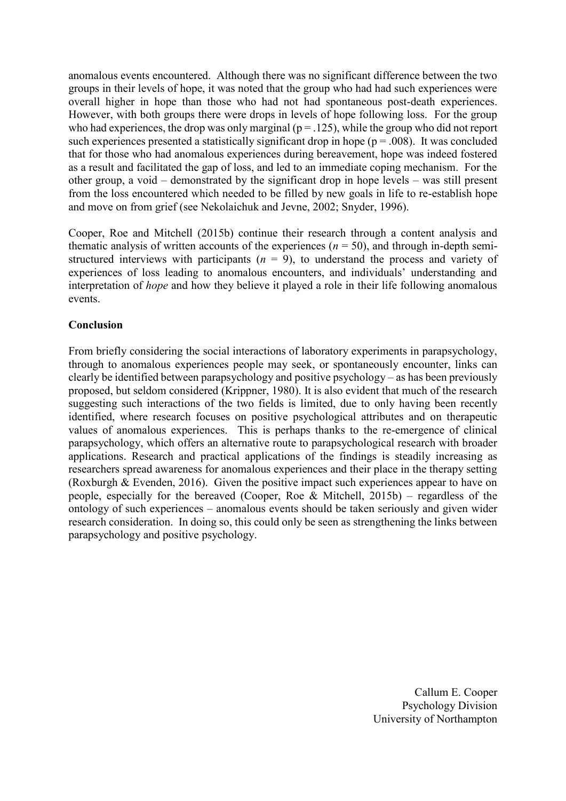anomalous events encountered. Although there was no significant difference between the two groups in their levels of hope, it was noted that the group who had had such experiences were overall higher in hope than those who had not had spontaneous post-death experiences. However, with both groups there were drops in levels of hope following loss. For the group who had experiences, the drop was only marginal ( $p = .125$ ), while the group who did not report such experiences presented a statistically significant drop in hope ( $p = .008$ ). It was concluded that for those who had anomalous experiences during bereavement, hope was indeed fostered as a result and facilitated the gap of loss, and led to an immediate coping mechanism. For the other group, a void – demonstrated by the significant drop in hope levels – was still present from the loss encountered which needed to be filled by new goals in life to re-establish hope and move on from grief (see Nekolaichuk and Jevne, 2002; Snyder, 1996).

Cooper, Roe and Mitchell (2015b) continue their research through a content analysis and thematic analysis of written accounts of the experiences  $(n = 50)$ , and through in-depth semistructured interviews with participants  $(n = 9)$ , to understand the process and variety of experiences of loss leading to anomalous encounters, and individuals' understanding and interpretation of *hope* and how they believe it played a role in their life following anomalous events.

### **Conclusion**

From briefly considering the social interactions of laboratory experiments in parapsychology, through to anomalous experiences people may seek, or spontaneously encounter, links can clearly be identified between parapsychology and positive psychology – as has been previously proposed, but seldom considered (Krippner, 1980). It is also evident that much of the research suggesting such interactions of the two fields is limited, due to only having been recently identified, where research focuses on positive psychological attributes and on therapeutic values of anomalous experiences. This is perhaps thanks to the re-emergence of clinical parapsychology, which offers an alternative route to parapsychological research with broader applications. Research and practical applications of the findings is steadily increasing as researchers spread awareness for anomalous experiences and their place in the therapy setting (Roxburgh & Evenden, 2016). Given the positive impact such experiences appear to have on people, especially for the bereaved (Cooper, Roe & Mitchell, 2015b) – regardless of the ontology of such experiences – anomalous events should be taken seriously and given wider research consideration. In doing so, this could only be seen as strengthening the links between parapsychology and positive psychology.

> Callum E. Cooper Psychology Division University of Northampton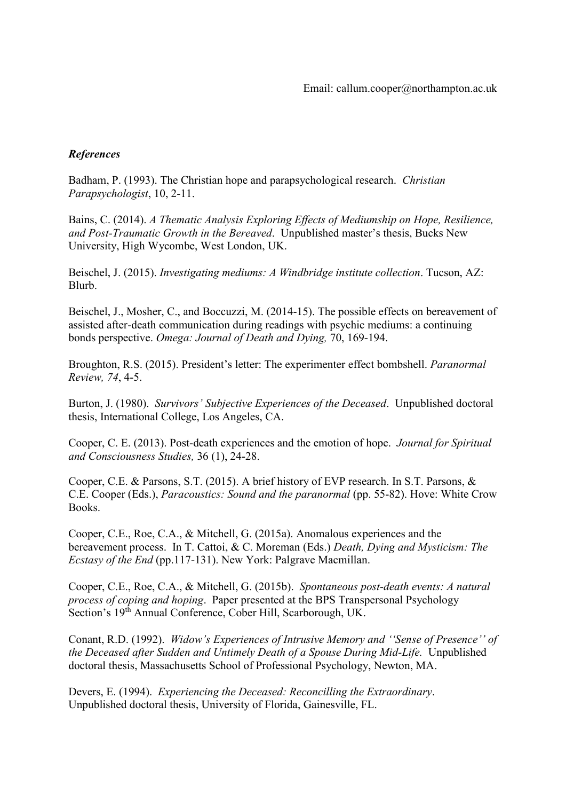## *References*

Badham, P. (1993). The Christian hope and parapsychological research. *Christian Parapsychologist*, 10, 2-11.

Bains, C. (2014). *A Thematic Analysis Exploring Effects of Mediumship on Hope, Resilience, and Post-Traumatic Growth in the Bereaved*. Unpublished master's thesis, Bucks New University, High Wycombe, West London, UK.

Beischel, J. (2015). *Investigating mediums: A Windbridge institute collection*. Tucson, AZ: Blurb.

Beischel, J., Mosher, C., and Boccuzzi, M. (2014-15). The possible effects on bereavement of assisted after-death communication during readings with psychic mediums: a continuing bonds perspective. *Omega: Journal of Death and Dying,* 70, 169-194.

Broughton, R.S. (2015). President's letter: The experimenter effect bombshell. *Paranormal Review, 74*, 4-5.

Burton, J. (1980). *Survivors' Subjective Experiences of the Deceased*. Unpublished doctoral thesis, International College, Los Angeles, CA.

Cooper, C. E. (2013). Post-death experiences and the emotion of hope. *Journal for Spiritual and Consciousness Studies,* 36 (1), 24-28.

Cooper, C.E. & Parsons, S.T. (2015). A brief history of EVP research. In S.T. Parsons, & C.E. Cooper (Eds.), *Paracoustics: Sound and the paranormal* (pp. 55-82). Hove: White Crow Books.

Cooper, C.E., Roe, C.A., & Mitchell, G. (2015a). Anomalous experiences and the bereavement process. In T. Cattoi, & C. Moreman (Eds.) *Death, Dying and Mysticism: The Ecstasy of the End* (pp.117-131). New York: Palgrave Macmillan.

Cooper, C.E., Roe, C.A., & Mitchell, G. (2015b). *Spontaneous post-death events: A natural process of coping and hoping*. Paper presented at the BPS Transpersonal Psychology Section's 19<sup>th</sup> Annual Conference, Cober Hill, Scarborough, UK.

Conant, R.D. (1992). *Widow's Experiences of Intrusive Memory and ''Sense of Presence'' of the Deceased after Sudden and Untimely Death of a Spouse During Mid-Life.* Unpublished doctoral thesis, Massachusetts School of Professional Psychology, Newton, MA.

Devers, E. (1994). *Experiencing the Deceased: Reconcilling the Extraordinary*. Unpublished doctoral thesis, University of Florida, Gainesville, FL.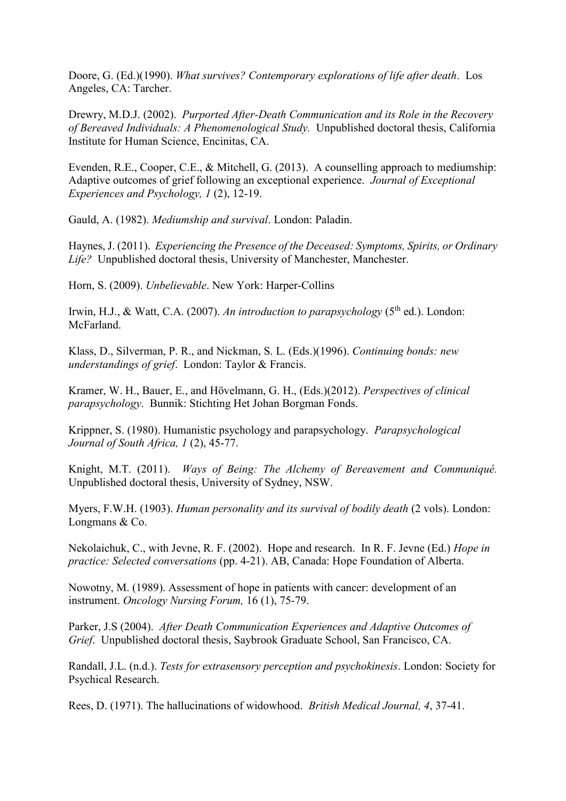Doore, G. (Ed.)(1990). *What survives? Contemporary explorations of life after death*. Los Angeles, CA: Tarcher.

Drewry, M.D.J. (2002). *Purported After-Death Communication and its Role in the Recovery of Bereaved Individuals: A Phenomenological Study.* Unpublished doctoral thesis, California Institute for Human Science, Encinitas, CA.

Evenden, R.E., Cooper, C.E., & Mitchell, G. (2013). A counselling approach to mediumship: Adaptive outcomes of grief following an exceptional experience. *Journal of Exceptional Experiences and Psychology, 1* (2), 12-19.

Gauld, A. (1982). *Mediumship and survival*. London: Paladin.

Haynes, J. (2011). *Experiencing the Presence of the Deceased: Symptoms, Spirits, or Ordinary Life?* Unpublished doctoral thesis, University of Manchester, Manchester.

Horn, S. (2009). *Unbelievable*. New York: Harper-Collins

Irwin, H.J., & Watt, C.A. (2007). *An introduction to parapsychology* (5<sup>th</sup> ed.). London: McFarland.

Klass, D., Silverman, P. R., and Nickman, S. L. (Eds.)(1996). *Continuing bonds: new understandings of grief*. London: Taylor & Francis.

Kramer, W. H., Bauer, E., and Hövelmann, G. H., (Eds.)(2012). *Perspectives of clinical parapsychology*. Bunnik: Stichting Het Johan Borgman Fonds.

Krippner, S. (1980). Humanistic psychology and parapsychology. *Parapsychological Journal of South Africa, 1* (2), 45-77.

Knight, M.T. (2011). *Ways of Being: The Alchemy of Bereavement and Communiqué.* Unpublished doctoral thesis, University of Sydney, NSW.

Myers, F.W.H. (1903). *Human personality and its survival of bodily death* (2 vols). London: Longmans & Co.

Nekolaichuk, C., with Jevne, R. F. (2002). Hope and research. In R. F. Jevne (Ed.) *Hope in practice: Selected conversations* (pp. 4-21). AB, Canada: Hope Foundation of Alberta.

Nowotny, M. (1989). Assessment of hope in patients with cancer: development of an instrument. *Oncology Nursing Forum,* 16 (1), 75-79.

Parker, J.S (2004). *After Death Communication Experiences and Adaptive Outcomes of Grief*. Unpublished doctoral thesis, Saybrook Graduate School, San Francisco, CA.

Randall, J.L. (n.d.). *Tests for extrasensory perception and psychokinesis*. London: Society for Psychical Research.

Rees, D. (1971). The hallucinations of widowhood. *British Medical Journal, 4*, 37-41.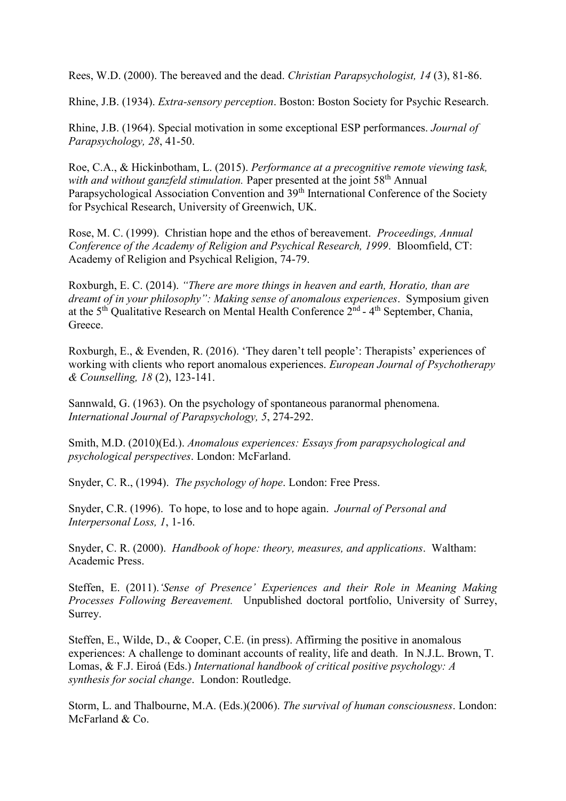Rees, W.D. (2000). The bereaved and the dead. *Christian Parapsychologist, 14* (3), 81-86.

Rhine, J.B. (1934). *Extra-sensory perception*. Boston: Boston Society for Psychic Research.

Rhine, J.B. (1964). Special motivation in some exceptional ESP performances. *Journal of Parapsychology, 28*, 41-50.

Roe, C.A., & Hickinbotham, L. (2015). *Performance at a precognitive remote viewing task,*  with and without ganzfeld stimulation. Paper presented at the joint 58<sup>th</sup> Annual Parapsychological Association Convention and 39<sup>th</sup> International Conference of the Society for Psychical Research, University of Greenwich, UK.

Rose, M. C. (1999). Christian hope and the ethos of bereavement. *Proceedings, Annual Conference of the Academy of Religion and Psychical Research, 1999*. Bloomfield, CT: Academy of Religion and Psychical Religion, 74-79.

Roxburgh, E. C. (2014). *"There are more things in heaven and earth, Horatio, than are dreamt of in your philosophy": Making sense of anomalous experiences*. Symposium given at the  $5<sup>th</sup>$  Qualitative Research on Mental Health Conference  $2<sup>nd</sup>$  - 4<sup>th</sup> September, Chania, Greece.

Roxburgh, E., & Evenden, R. (2016). 'They daren't tell people': Therapists' experiences of working with clients who report anomalous experiences. *European Journal of Psychotherapy & Counselling, 18* (2), 123-141.

Sannwald, G. (1963). On the psychology of spontaneous paranormal phenomena. *International Journal of Parapsychology, 5*, 274-292.

Smith, M.D. (2010)(Ed.). *Anomalous experiences: Essays from parapsychological and psychological perspectives*. London: McFarland.

Snyder, C. R., (1994). *The psychology of hope*. London: Free Press.

Snyder, C.R. (1996). To hope, to lose and to hope again. *Journal of Personal and Interpersonal Loss, 1*, 1-16.

Snyder, C. R. (2000). *Handbook of hope: theory, measures, and applications*. Waltham: Academic Press.

Steffen, E. (2011).*'Sense of Presence' Experiences and their Role in Meaning Making Processes Following Bereavement.* Unpublished doctoral portfolio, University of Surrey, Surrey.

Steffen, E., Wilde, D., & Cooper, C.E. (in press). Affirming the positive in anomalous experiences: A challenge to dominant accounts of reality, life and death. In N.J.L. Brown, T. Lomas, & F.J. Eiroá (Eds.) *International handbook of critical positive psychology: A synthesis for social change*. London: Routledge.

Storm, L. and Thalbourne, M.A. (Eds.)(2006). *The survival of human consciousness*. London: McFarland & Co.